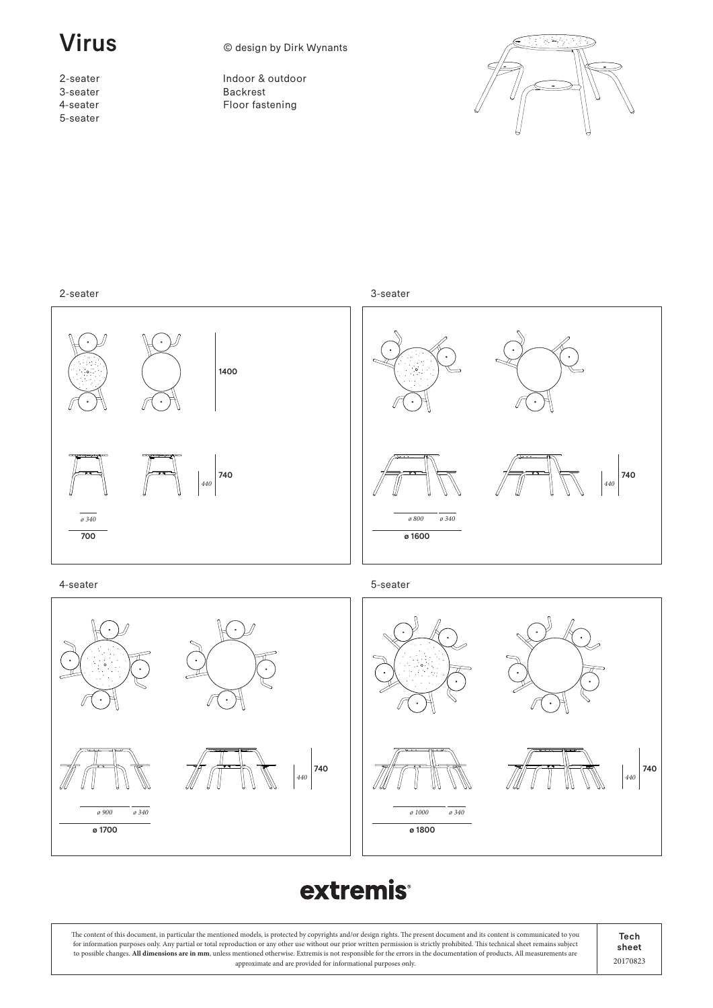ø 1700

ø 900 ø 340

2-seater 3-seater 4-seater 5-seater

**Virus** © design by Dirk Wynants

Indoor & outdoor Backrest Floor fastening





# **extremis**

ø 1800 ø 1000 ø 340

The content of this document, in particular the mentioned models, is protected by copyrights and/or design rights. The present document and its content is communicated to you for information purposes only. Any partial or total reproduction or any other use without our prior written permission is strictly prohibited. This technical sheet remains subject to possible changes. **All dimensions are in mm**, unless mentioned otherwise. Extremis is not responsible for the errors in the documentation of products. All measurements are approximate and are provided for informational purposes only.

Tech sheet 20170823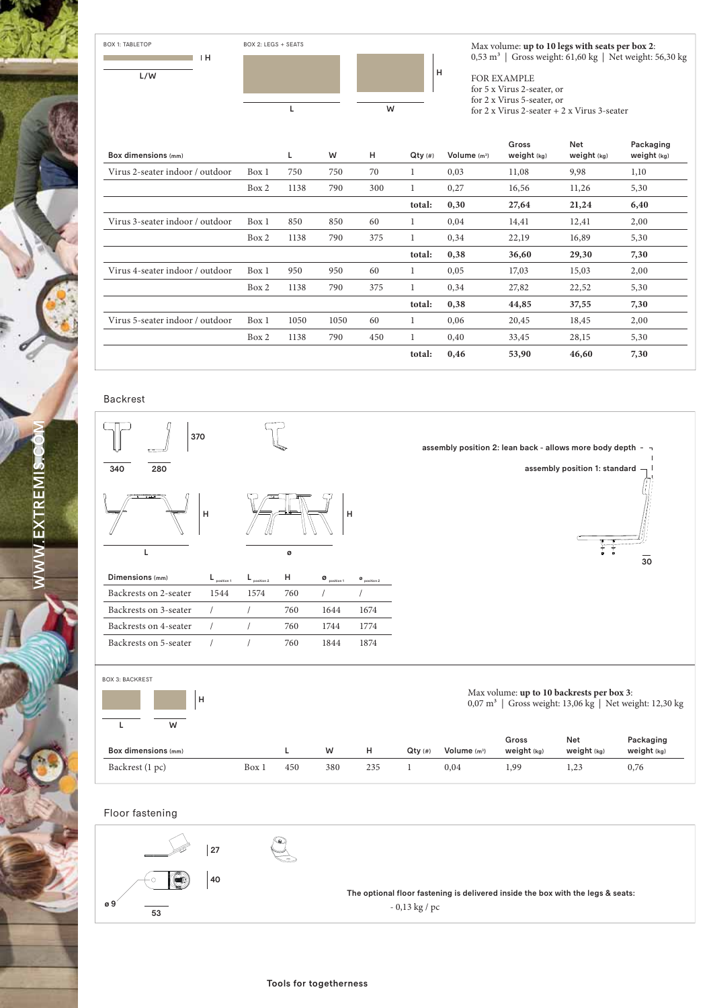

Max volume: **up to 10 legs with seats per box 2**: 0,53 m<sup>3</sup> | Gross weight: 61,60 kg | Net weight: 56,30 kg

FOR EXAMPLE

for 5 x Virus 2-seater, or for 2 x Virus 5-seater, or

for 2 x Virus 2-seater + 2 x Virus 3-seater

|                                 |       |      |      |     |           |               | Gross       | <b>Net</b>    | Packaging     |
|---------------------------------|-------|------|------|-----|-----------|---------------|-------------|---------------|---------------|
| Box dimensions (mm)             |       | L.   | W    | H   | $Qty$ (#) | Volume $(m3)$ | Weight (kg) | weight $(kg)$ | weight $(kg)$ |
| Virus 2-seater indoor / outdoor | Box 1 | 750  | 750  | 70  |           | 0,03          | 11,08       | 9,98          | 1,10          |
|                                 | Box 2 | 1138 | 790  | 300 | 1         | 0,27          | 16,56       | 11,26         | 5,30          |
|                                 |       |      |      |     | total:    | 0,30          | 27,64       | 21,24         | 6,40          |
| Virus 3-seater indoor / outdoor | Box 1 | 850  | 850  | 60  |           | 0,04          | 14,41       | 12,41         | 2,00          |
|                                 | Box 2 | 1138 | 790  | 375 | 1         | 0,34          | 22,19       | 16,89         | 5,30          |
|                                 |       |      |      |     | total:    | 0,38          | 36,60       | 29,30         | 7,30          |
| Virus 4-seater indoor / outdoor | Box 1 | 950  | 950  | 60  | 1         | 0,05          | 17,03       | 15,03         | 2,00          |
|                                 | Box 2 | 1138 | 790  | 375 | 1         | 0,34          | 27,82       | 22,52         | 5,30          |
|                                 |       |      |      |     | total:    | 0,38          | 44,85       | 37,55         | 7,30          |
| Virus 5-seater indoor / outdoor | Box 1 | 1050 | 1050 | 60  | 1         | 0,06          | 20,45       | 18,45         | 2,00          |
|                                 | Box 2 | 1138 | 790  | 450 |           | 0,40          | 33,45       | 28,15         | 5,30          |
|                                 |       |      |      |     | total:    | 0,46          | 53,90       | 46,60         | 7,30          |

### Backrest

ø 9

WW.EXTREMIS<del>.C</del>OM

EXTREMI

 $\sum_{i=1}^{n}$ 



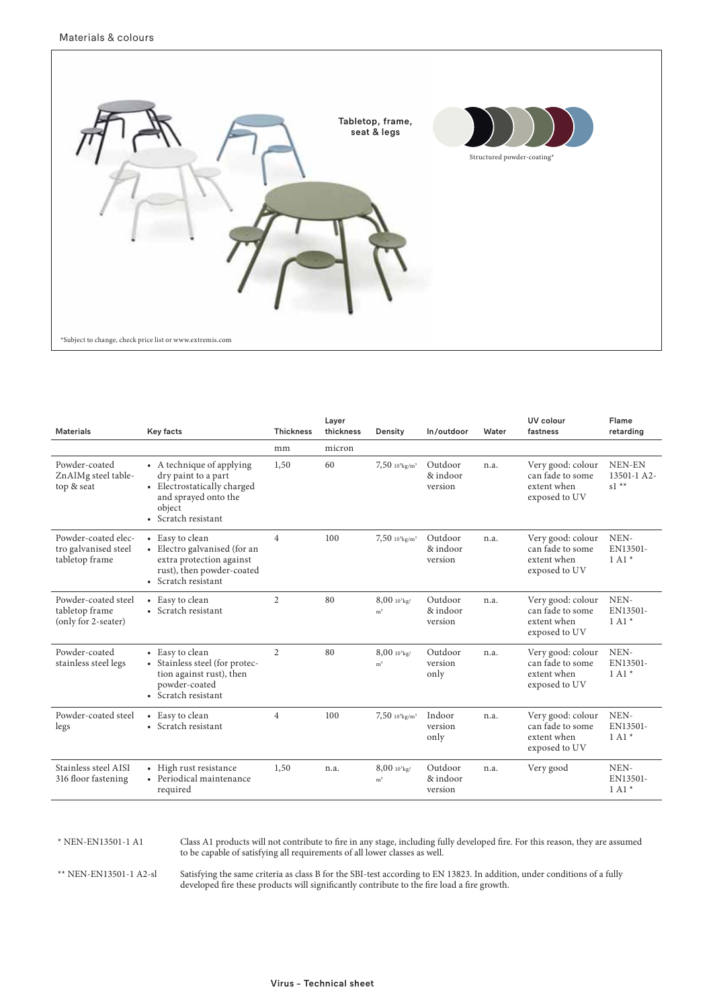

| <b>Materials</b>                                              | Key facts                                                                                                                                | <b>Thickness</b> | Layer<br>thickness | Density                                      | In/outdoor                     | Water | UV colour<br>fastness                                                 | Flame<br>retarding                       |
|---------------------------------------------------------------|------------------------------------------------------------------------------------------------------------------------------------------|------------------|--------------------|----------------------------------------------|--------------------------------|-------|-----------------------------------------------------------------------|------------------------------------------|
|                                                               |                                                                                                                                          | mm               | micron             |                                              |                                |       |                                                                       |                                          |
| Powder-coated<br>ZnAlMg steel table-<br>top & seat            | • A technique of applying<br>dry paint to a part<br>• Electrostatically charged<br>and sprayed onto the<br>object<br>• Scratch resistant | 1,50             | 60                 | $7,50$ $10^{3}$ kg/m <sup>3</sup>            | Outdoor<br>& indoor<br>version | n.a.  | Very good: colour<br>can fade to some<br>extent when<br>exposed to UV | NEN-EN<br>13501-1 A2-<br>$s1 \star\star$ |
| Powder-coated elec-<br>tro galvanised steel<br>tabletop frame | • Easy to clean<br>• Electro galvanised (for an<br>extra protection against<br>rust), then powder-coated<br>• Scratch resistant          | $\overline{4}$   | 100                | $7,50$ $10^{3}$ kg/m <sup>3</sup>            | Outdoor<br>& indoor<br>version | n.a.  | Very good: colour<br>can fade to some<br>extent when<br>exposed to UV | NEN-<br>EN13501-<br>$1 \mathrm{Al}$ *    |
| Powder-coated steel<br>tabletop frame<br>(only for 2-seater)  | • Easy to clean<br>• Scratch resistant                                                                                                   | $\overline{2}$   | 80                 | $8,00$ 10 <sup>3</sup> kg/<br>m <sup>3</sup> | Outdoor<br>& indoor<br>version | n.a.  | Very good: colour<br>can fade to some<br>extent when<br>exposed to UV | NEN-<br>EN13501-<br>$1 \mathrm{Al}$ *    |
| Powder-coated<br>stainless steel legs                         | • Easy to clean<br>• Stainless steel (for protec-<br>tion against rust), then<br>powder-coated<br>• Scratch resistant                    | $\overline{c}$   | 80                 | $8,00$ 10 <sup>3</sup> kg/<br>m <sup>3</sup> | Outdoor<br>version<br>only     | n.a.  | Very good: colour<br>can fade to some<br>extent when<br>exposed to UV | NEN-<br>EN13501-<br>$1 \mathrm{Al}$ *    |
| Powder-coated steel<br>legs                                   | • Easy to clean<br>• Scratch resistant                                                                                                   | $\overline{4}$   | 100                | $7,50$ $10^{3}$ kg/m <sup>3</sup>            | Indoor<br>version<br>only      | n.a.  | Very good: colour<br>can fade to some<br>extent when<br>exposed to UV | NEN-<br>EN13501-<br>$1 \mathrm{Al}$ *    |
| Stainless steel AISI<br>316 floor fastening                   | • High rust resistance<br>• Periodical maintenance<br>required                                                                           | 1,50             | n.a.               | $8,00$ $10^3$ kg/<br>m <sup>3</sup>          | Outdoor<br>& indoor<br>version | n.a.  | Very good                                                             | NEN-<br>EN13501-<br>$1 \mathrm{Al}$ *    |

### \* NEN-EN13501-1 A1 Class A1 products will not contribute to fire in any stage, including fully developed fire. For this reason, they are assumed to be capable of satisfying all requirements of all lower classes as well.

\*\* NEN-EN13501-1 A2-sl Satisfying the same criteria as class B for the SBI-test according to EN 13823. In addition, under conditions of a fully developed fire these products will significantly contribute to the fire load a fire growth.